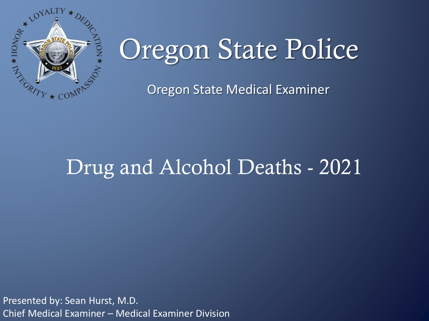

# Oregon State Police

Oregon State Medical Examiner

# Drug and Alcohol Deaths - 2021

Presented by: Sean Hurst, M.D. Chief Medical Examiner – Medical Examiner Division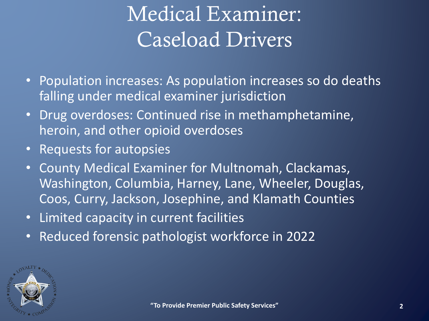# Medical Examiner: Caseload Drivers

- Population increases: As population increases so do deaths falling under medical examiner jurisdiction
- Drug overdoses: Continued rise in methamphetamine, heroin, and other opioid overdoses
- Requests for autopsies
- County Medical Examiner for Multnomah, Clackamas, Washington, Columbia, Harney, Lane, Wheeler, Douglas, Coos, Curry, Jackson, Josephine, and Klamath Counties
- Limited capacity in current facilities
- Reduced forensic pathologist workforce in 2022

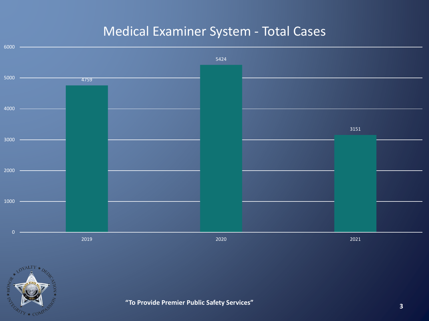### Medical Examiner System - Total Cases



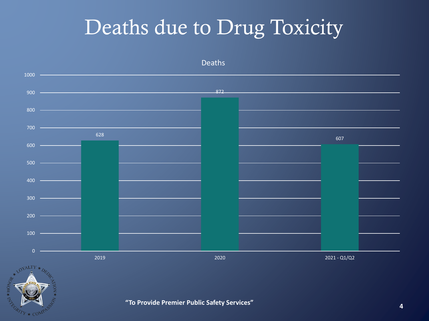# Deaths due to Drug Toxicity

Deaths

 $1000 -$ 872  $900 800 -$ 700 628 607  $600 500$  – 400  $300$   $\longrightarrow$ 200  $100 0 -$ 2019 2020 2021 - Q1/Q2 LOVALTY \*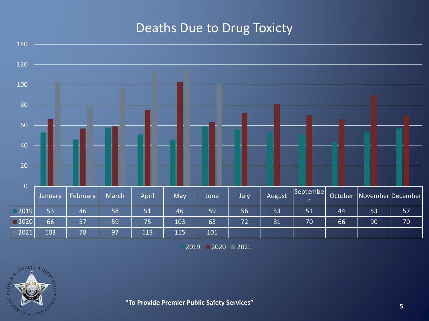### Deaths Due to Drug Toxicty



2020 2021

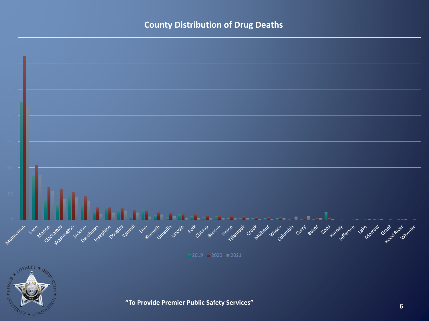#### **County Distribution of Drug Deaths**



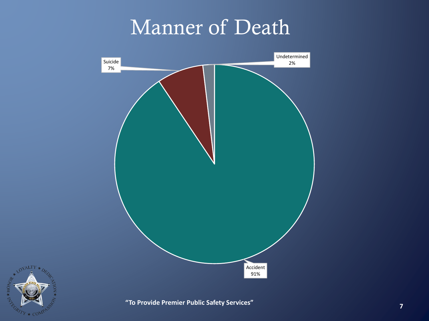# Manner of Death



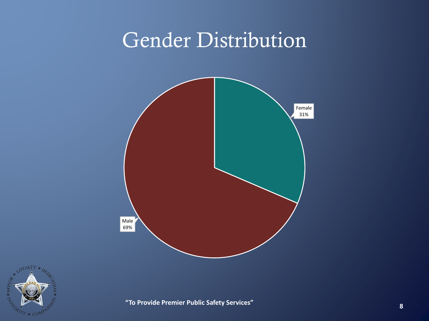# Gender Distribution



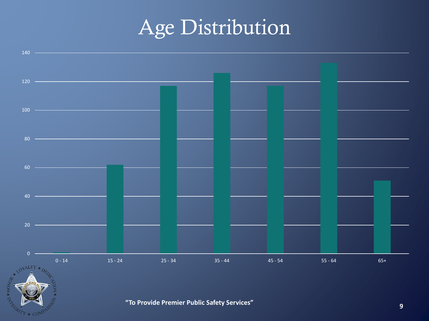# Age Distribution

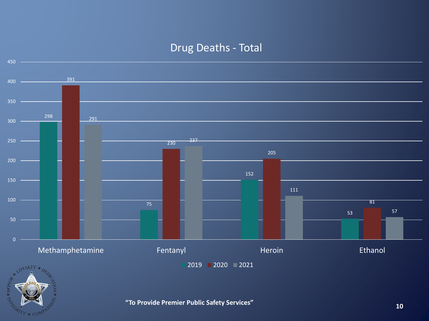#### Drug Deaths - Total



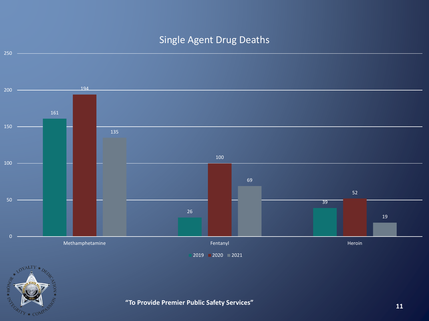#### Single Agent Drug Deaths



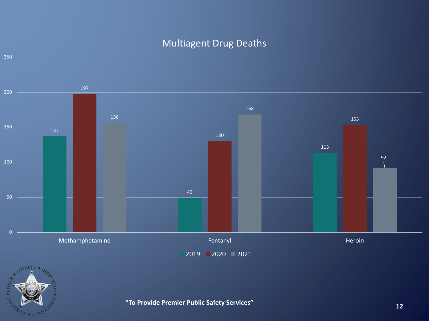### Multiagent Drug Deaths



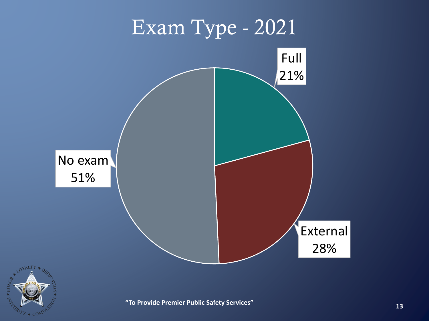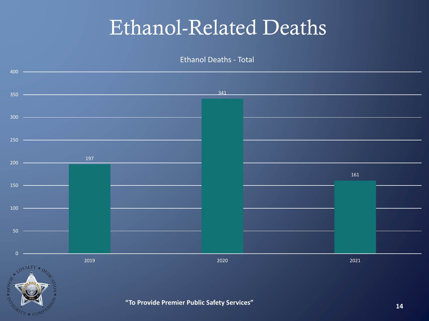### Ethanol-Related Deaths

Ethanol Deaths - Total

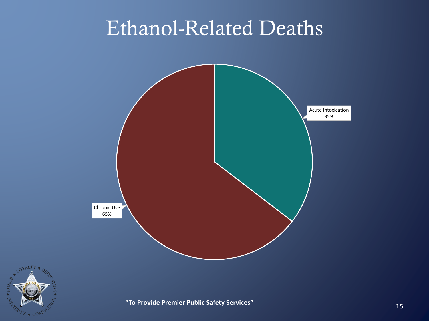# Ethanol-Related Deaths



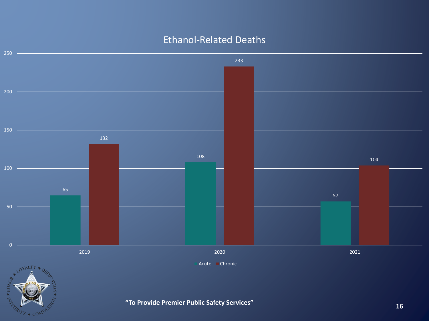

LOYALTY \*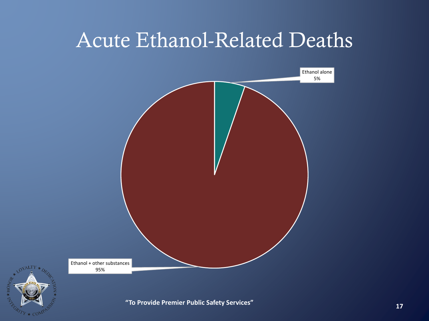### Acute Ethanol-Related Deaths